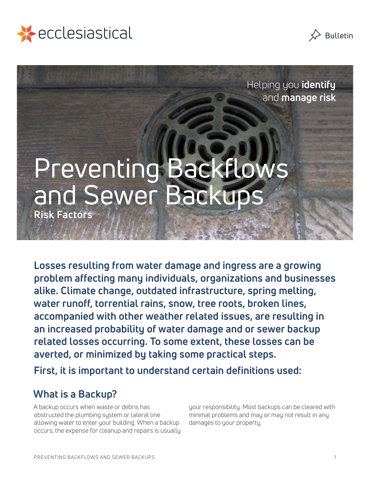



Helping you **identify** and **manage risk**

# Preventing Backflows and Sewer Back **Risk Factors**

**Losses resulting from water damage and ingress are a growing problem affecting many individuals, organizations and businesses alike. Climate change, outdated infrastructure, spring melting, water runoff, torrential rains, snow, tree roots, broken lines, accompanied with other weather related issues, are resulting in an increased probability of water damage and or sewer backup related losses occurring. To some extent, these losses can be averted, or minimized by taking some practical steps.**

**First, it is important to understand certain definitions used:**

## **What is a Backup?**

A backup occurs when waste or debris has obstructed the plumbing system or lateral line allowing water to enter your building. When a backup occurs, the expense for cleanup and repairs is usually your responsibility. Most backups can be cleared with minimal problems and may or may not result in any damages to your property.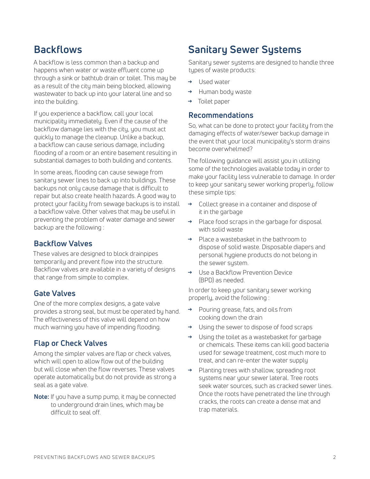# **Backflows**

A backflow is less common than a backup and happens when water or waste effluent come up through a sink or bathtub drain or toilet. This may be as a result of the city main being blocked, allowing wastewater to back up into your lateral line and so into the building.

If you experience a backflow, call your local municipality immediately. Even if the cause of the backflow damage lies with the city, you must act quickly to manage the cleanup. Unlike a backup, a backflow can cause serious damage, including flooding of a room or an entire basement resulting in substantial damages to both building and contents.

In some areas, flooding can cause sewage from sanitary sewer lines to back up into buildings. These backups not only cause damage that is difficult to repair but also create health hazards. A good way to protect your facility from sewage backups is to install a backflow valve. Other valves that may be useful in preventing the problem of water damage and sewer backup are the following :

### **Backflow Valves**

These valves are designed to block drainpipes temporarily and prevent flow into the structure. Backflow valves are available in a variety of designs that range from simple to complex.

#### **Gate Valves**

One of the more complex designs, a gate valve provides a strong seal, but must be operated by hand. The effectiveness of this valve will depend on how much warning you have of impending flooding.

## **Flap or Check Valves**

Among the simpler valves are flap or check valves, which will open to allow flow out of the building but will close when the flow reverses. These valves operate automatically but do not provide as strong a seal as a gate valve.

**Note:** If you have a sump pump, it may be connected to underground drain lines, which may be difficult to seal off.

# **Sanitary Sewer Systems**

Sanitary sewer systems are designed to handle three types of waste products:

- **→** Used water
- **→** Human body waste
- **→** Toilet paper

#### **Recommendations**

So, what can be done to protect your facility from the damaging effects of water/sewer backup damage in the event that your local municipality's storm drains become overwhelmed?

The following guidance will assist you in utilizing some of the technologies available today in order to make your facility less vulnerable to damage. In order to keep your sanitary sewer working properly, follow these simple tips:

- **→** Collect grease in a container and dispose of it in the garbage
- **→** Place food scraps in the garbage for disposal with solid waste
- **→** Place a wastebasket in the bathroom to dispose of solid waste. Disposable diapers and personal hygiene products do not belong in the sewer system.
- **→** Use a Backflow Prevention Device (BPD) as needed.

In order to keep your sanitary sewer working properly, avoid the following :

- **→** Pouring grease, fats, and oils from cooking down the drain
- **→** Using the sewer to dispose of food scraps
- **→** Using the toilet as a wastebasket for garbage or chemicals. These items can kill good bacteria used for sewage treatment, cost much more to treat, and can re-enter the water supply
- Planting trees with shallow, spreading root systems near your sewer lateral. Tree roots seek water sources, such as cracked sewer lines. Once the roots have penetrated the line through cracks, the roots can create a dense mat and trap materials.